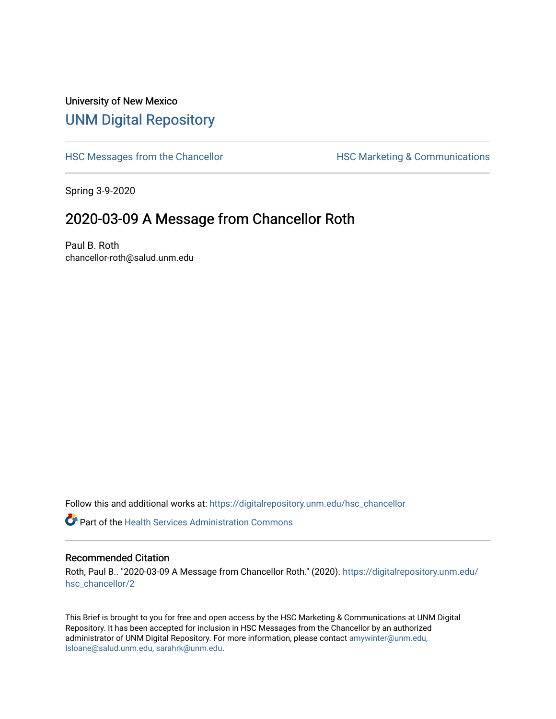## University of New Mexico [UNM Digital Repository](https://digitalrepository.unm.edu/)

[HSC Messages from the Chancellor](https://digitalrepository.unm.edu/hsc_chancellor) **HSC Marketing & Communications** 

Spring 3-9-2020

## 2020-03-09 A Message from Chancellor Roth

Paul B. Roth chancellor-roth@salud.unm.edu

Follow this and additional works at: [https://digitalrepository.unm.edu/hsc\\_chancellor](https://digitalrepository.unm.edu/hsc_chancellor?utm_source=digitalrepository.unm.edu%2Fhsc_chancellor%2F2&utm_medium=PDF&utm_campaign=PDFCoverPages) 

**C** Part of the Health Services Administration Commons

## Recommended Citation

Roth, Paul B.. "2020-03-09 A Message from Chancellor Roth." (2020). [https://digitalrepository.unm.edu/](https://digitalrepository.unm.edu/hsc_chancellor/2?utm_source=digitalrepository.unm.edu%2Fhsc_chancellor%2F2&utm_medium=PDF&utm_campaign=PDFCoverPages) [hsc\\_chancellor/2](https://digitalrepository.unm.edu/hsc_chancellor/2?utm_source=digitalrepository.unm.edu%2Fhsc_chancellor%2F2&utm_medium=PDF&utm_campaign=PDFCoverPages)

This Brief is brought to you for free and open access by the HSC Marketing & Communications at UNM Digital Repository. It has been accepted for inclusion in HSC Messages from the Chancellor by an authorized administrator of UNM Digital Repository. For more information, please contact [amywinter@unm.edu,](mailto:amywinter@unm.edu,%20lsloane@salud.unm.edu,%20sarahrk@unm.edu) [lsloane@salud.unm.edu, sarahrk@unm.edu.](mailto:amywinter@unm.edu,%20lsloane@salud.unm.edu,%20sarahrk@unm.edu)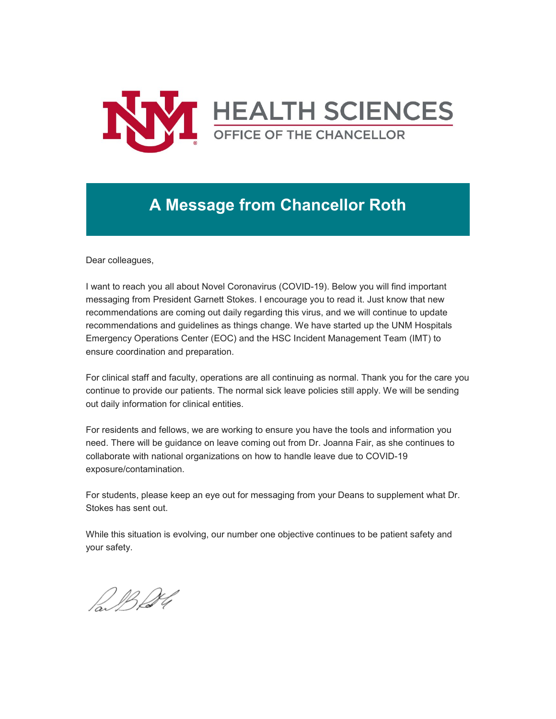

## **A Message from Chancellor Roth**

Dear colleagues,

I want to reach you all about Novel Coronavirus (COVID-19). Below you will find important messaging from President Garnett Stokes. I encourage you to read it. Just know that new recommendations are coming out daily regarding this virus, and we will continue to update recommendations and guidelines as things change. We have started up the UNM Hospitals Emergency Operations Center (EOC) and the HSC Incident Management Team (IMT) to ensure coordination and preparation.

For clinical staff and faculty, operations are all continuing as normal. Thank you for the care you continue to provide our patients. The normal sick leave policies still apply. We will be sending out daily information for clinical entities.

For residents and fellows, we are working to ensure you have the tools and information you need. There will be guidance on leave coming out from Dr. Joanna Fair, as she continues to collaborate with national organizations on how to handle leave due to COVID-19 exposure/contamination.

For students, please keep an eye out for messaging from your Deans to supplement what Dr. Stokes has sent out.

While this situation is evolving, our number one objective continues to be patient safety and your safety.

P.B.D.